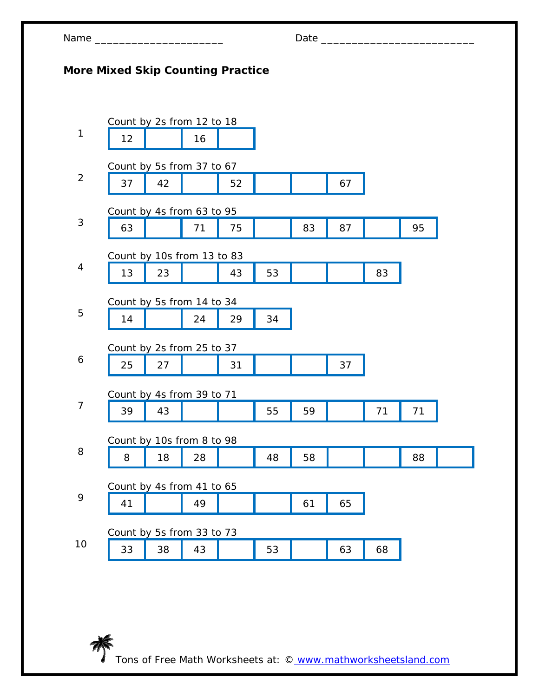| Name |  |
|------|--|
|------|--|

芥

## Name \_\_\_\_\_\_\_\_\_\_\_\_\_\_\_\_\_\_\_\_\_ Date \_\_\_\_\_\_\_\_\_\_\_\_\_\_\_\_\_\_\_\_\_\_\_\_\_

## **More Mixed Skip Counting Practice**

|                | Count by 2s from 12 to 18  |    |    |    |    |    |    |    |    |  |
|----------------|----------------------------|----|----|----|----|----|----|----|----|--|
| $\mathbf{1}$   | 12                         |    | 16 |    |    |    |    |    |    |  |
|                | Count by 5s from 37 to 67  |    |    |    |    |    |    |    |    |  |
| $\overline{2}$ | 37                         | 42 |    | 52 |    |    | 67 |    |    |  |
|                | Count by 4s from 63 to 95  |    |    |    |    |    |    |    |    |  |
| 3              | 63                         |    | 71 | 75 |    | 83 | 87 |    | 95 |  |
|                | Count by 10s from 13 to 83 |    |    |    |    |    |    |    |    |  |
| 4              | 13                         | 23 |    | 43 | 53 |    |    | 83 |    |  |
|                | Count by 5s from 14 to 34  |    |    |    |    |    |    |    |    |  |
| 5              | 14                         |    | 24 | 29 | 34 |    |    |    |    |  |
|                | Count by 2s from 25 to 37  |    |    |    |    |    |    |    |    |  |
| 6              | 25                         | 27 |    | 31 |    |    | 37 |    |    |  |
|                | Count by 4s from 39 to 71  |    |    |    |    |    |    |    |    |  |
| $\overline{7}$ | 39                         | 43 |    |    | 55 | 59 |    | 71 | 71 |  |
|                | Count by 10s from 8 to 98  |    |    |    |    |    |    |    |    |  |
| 8              | 8                          | 18 | 28 |    | 48 | 58 |    |    | 88 |  |
|                | Count by 4s from 41 to 65  |    |    |    |    |    |    |    |    |  |
| 9              | 41                         |    | 49 |    |    | 61 | 65 |    |    |  |
|                | Count by 5s from 33 to 73  |    |    |    |    |    |    |    |    |  |
| 10             | 33                         | 38 | 43 |    | 53 |    | 63 | 68 |    |  |
|                |                            |    |    |    |    |    |    |    |    |  |

Tons of Free Math Worksheets at: © www.mathworksheetsland.com